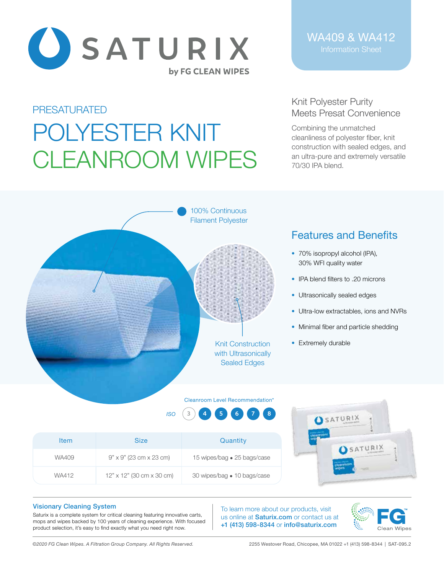

WA409 & WA412

### PRESATURATED

# POLYESTER KNIT CLEANROOM WIPES

## Knit Polyester Purity Meets Presat Convenience

Combining the unmatched cleanliness of polyester fiber, knit construction with sealed edges, and an ultra-pure and extremely versatile 70/30 IPA blend.



# Features and Benefits

- 70% isopropyl alcohol (IPA), 30% WFI quality water
- IPA blend filters to .20 microns
- Ultrasonically sealed edges
- Ultra-low extractables, ions and NVRs
- Minimal fiber and particle shedding
- Extremely durable

#### Cleanroom Level Recommendation\*

*ISO* **3 4 5 6 7 8**

|             |                                         |                             | 5A10N12               |
|-------------|-----------------------------------------|-----------------------------|-----------------------|
| <b>Item</b> | <b>Size</b>                             | Quantity                    | SATURIX               |
| WA409       | $9" \times 9"$ (23 cm x 23 cm)          | 15 wipes/bag • 25 bags/case |                       |
| WA412       | $12" \times 12"$ (30 cm $\times$ 30 cm) | 30 wipes/bag • 10 bags/case | wipes<br><b>HOTEL</b> |

#### Visionary Cleaning System

Saturix is a complete system for critical cleaning featuring innovative carts, mops and wipes backed by 100 years of cleaning experience. With focused product selection, it's easy to find exactly what you need right now.

To learn more about our products, visit us online at **Saturix.com** or contact us at +1 (413) 598-8344 or info@saturix.com



*©2020 FG Clean Wipes. A Filtration Group Company. All Rights Reserved.* 2255 Westover Road, Chicopee, MA 01022 +1 (413) 598-8344 | SAT-095.2